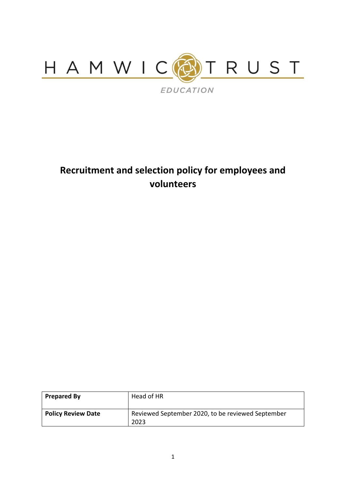

# **Recruitment and selection policy for employees and volunteers**

| <b>Prepared By</b>        | Head of HR                                                |
|---------------------------|-----------------------------------------------------------|
| <b>Policy Review Date</b> | Reviewed September 2020, to be reviewed September<br>2023 |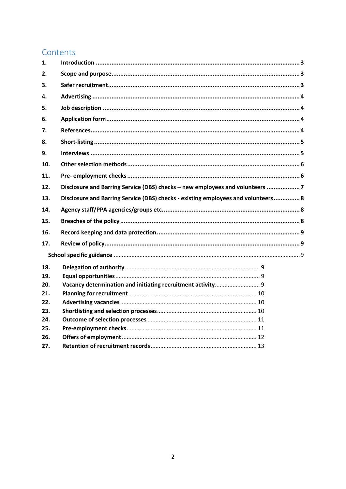# Contents

| 1.  |                                                                                   |
|-----|-----------------------------------------------------------------------------------|
| 2.  |                                                                                   |
| 3.  |                                                                                   |
| 4.  |                                                                                   |
| 5.  |                                                                                   |
| 6.  |                                                                                   |
| 7.  |                                                                                   |
| 8.  |                                                                                   |
| 9.  |                                                                                   |
| 10. |                                                                                   |
| 11. |                                                                                   |
| 12. | Disclosure and Barring Service (DBS) checks - new employees and volunteers 7      |
| 13. | Disclosure and Barring Service (DBS) checks - existing employees and volunteers 8 |
| 14. |                                                                                   |
|     |                                                                                   |
| 15. |                                                                                   |
| 16. |                                                                                   |
| 17. |                                                                                   |
|     |                                                                                   |
| 18. |                                                                                   |
| 19. |                                                                                   |
| 20. |                                                                                   |
| 21. |                                                                                   |
| 22. |                                                                                   |
| 23. |                                                                                   |
| 24. |                                                                                   |
| 25. |                                                                                   |
| 26. |                                                                                   |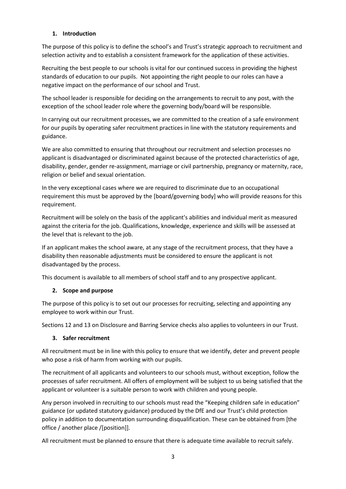# <span id="page-2-0"></span>**1. Introduction**

The purpose of this policy is to define the school's and Trust's strategic approach to recruitment and selection activity and to establish a consistent framework for the application of these activities.

Recruiting the best people to our schools is vital for our continued success in providing the highest standards of education to our pupils. Not appointing the right people to our roles can have a negative impact on the performance of our school and Trust.

The school leader is responsible for deciding on the arrangements to recruit to any post, with the exception of the school leader role where the governing body/board will be responsible.

In carrying out our recruitment processes, we are committed to the creation of a safe environment for our pupils by operating safer recruitment practices in line with the statutory requirements and guidance.

We are also committed to ensuring that throughout our recruitment and selection processes no applicant is disadvantaged or discriminated against because of the protected characteristics of age, disability, gender, gender re-assignment, marriage or civil partnership, pregnancy or maternity, race, religion or belief and sexual orientation.

In the very exceptional cases where we are required to discriminate due to an occupational requirement this must be approved by the [board/governing body] who will provide reasons for this requirement.

Recruitment will be solely on the basis of the applicant's abilities and individual merit as measured against the criteria for the job. Qualifications, knowledge, experience and skills will be assessed at the level that is relevant to the job.

If an applicant makes the school aware, at any stage of the recruitment process, that they have a disability then reasonable adjustments must be considered to ensure the applicant is not disadvantaged by the process.

This document is available to all members of school staff and to any prospective applicant.

# <span id="page-2-1"></span>**2. Scope and purpose**

The purpose of this policy is to set out our processes for recruiting, selecting and appointing any employee to work within our Trust.

Sections 12 and 13 on Disclosure and Barring Service checks also applies to volunteers in our Trust.

#### <span id="page-2-2"></span>**3. Safer recruitment**

All recruitment must be in line with this policy to ensure that we identify, deter and prevent people who pose a risk of harm from working with our pupils.

The recruitment of all applicants and volunteers to our schools must, without exception, follow the processes of safer recruitment. All offers of employment will be subject to us being satisfied that the applicant or volunteer is a suitable person to work with children and young people.

Any person involved in recruiting to our schools must read the "Keeping children safe in education" guidance (or updated statutory guidance) produced by the DfE and our Trust's child protection policy in addition to documentation surrounding disqualification. These can be obtained from [the office / another place /[position]].

All recruitment must be planned to ensure that there is adequate time available to recruit safely.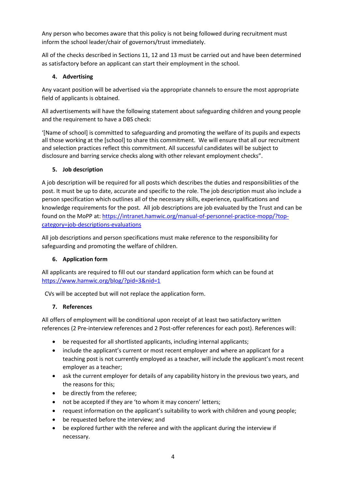Any person who becomes aware that this policy is not being followed during recruitment must inform the school leader/chair of governors/trust immediately.

All of the checks described in Sections 11, 12 and 13 must be carried out and have been determined as satisfactory before an applicant can start their employment in the school.

# <span id="page-3-0"></span>**4. Advertising**

Any vacant position will be advertised via the appropriate channels to ensure the most appropriate field of applicants is obtained.

All advertisements will have the following statement about safeguarding children and young people and the requirement to have a DBS check:

'[Name of school] is committed to safeguarding and promoting the welfare of its pupils and expects all those working at the [school] to share this commitment. We will ensure that all our recruitment and selection practices reflect this commitment. All successful candidates will be subject to disclosure and barring service checks along with other relevant employment checks".

# <span id="page-3-1"></span>**5. Job description**

A job description will be required for all posts which describes the duties and responsibilities of the post. It must be up to date, accurate and specific to the role. The job description must also include a person specification which outlines all of the necessary skills, experience, qualifications and knowledge requirements for the post. All job descriptions are job evaluated by the Trust and can be found on the MoPP at: [https://intranet.hamwic.org/manual-of-personnel-practice-mopp/?top](https://intranet.hamwic.org/manual-of-personnel-practice-mopp/?top-category=job-descriptions-evaluations)[category=job-descriptions-evaluations](https://intranet.hamwic.org/manual-of-personnel-practice-mopp/?top-category=job-descriptions-evaluations)

All job descriptions and person specifications must make reference to the responsibility for safeguarding and promoting the welfare of children.

# <span id="page-3-2"></span>**6. Application form**

All applicants are required to fill out our standard application form which can be found at <https://www.hamwic.org/blog/?pid=3&nid=1>

CVs will be accepted but will not replace the application form.

# <span id="page-3-3"></span>**7. References**

All offers of employment will be conditional upon receipt of at least two satisfactory written references (2 Pre-interview references and 2 Post-offer references for each post). References will:

- be requested for all shortlisted applicants, including internal applicants;
- include the applicant's current or most recent employer and where an applicant for a teaching post is not currently employed as a teacher, will include the applicant's most recent employer as a teacher;
- ask the current employer for details of any capability history in the previous two years, and the reasons for this;
- be directly from the referee;
- not be accepted if they are 'to whom it may concern' letters;
- request information on the applicant's suitability to work with children and young people;
- be requested before the interview; and
- be explored further with the referee and with the applicant during the interview if necessary.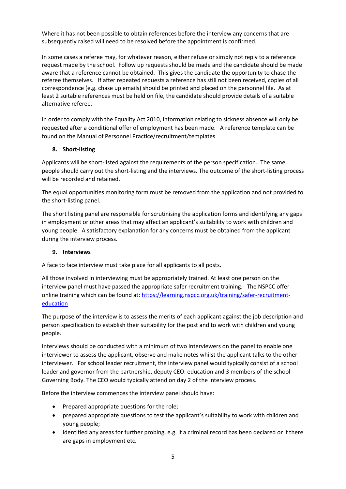Where it has not been possible to obtain references before the interview any concerns that are subsequently raised will need to be resolved before the appointment is confirmed.

In some cases a referee may, for whatever reason, either refuse or simply not reply to a reference request made by the school. Follow up requests should be made and the candidate should be made aware that a reference cannot be obtained. This gives the candidate the opportunity to chase the referee themselves. If after repeated requests a reference has still not been received, copies of all correspondence (e.g. chase up emails) should be printed and placed on the personnel file. As at least 2 suitable references must be held on file, the candidate should provide details of a suitable alternative referee.

In order to comply with the Equality Act 2010, information relating to sickness absence will only be requested after a conditional offer of employment has been made. A reference template can be found on the Manual of Personnel Practice/recruitment/templates

#### <span id="page-4-0"></span>**8. Short-listing**

Applicants will be short-listed against the requirements of the person specification. The same people should carry out the short-listing and the interviews. The outcome of the short-listing process will be recorded and retained.

The equal opportunities monitoring form must be removed from the application and not provided to the short-listing panel.

The short listing panel are responsible for scrutinising the application forms and identifying any gaps in employment or other areas that may affect an applicant's suitability to work with children and young people. A satisfactory explanation for any concerns must be obtained from the applicant during the interview process.

# <span id="page-4-1"></span>**9. Interviews**

A face to face interview must take place for all applicants to all posts.

All those involved in interviewing must be appropriately trained. At least one person on the interview panel must have passed the appropriate safer recruitment training. The NSPCC offer online training which can be found at: [https://learning.nspcc.org.uk/training/safer-recruitment](https://learning.nspcc.org.uk/training/safer-recruitment-education)[education](https://learning.nspcc.org.uk/training/safer-recruitment-education)

The purpose of the interview is to assess the merits of each applicant against the job description and person specification to establish their suitability for the post and to work with children and young people.

Interviews should be conducted with a minimum of two interviewers on the panel to enable one interviewer to assess the applicant, observe and make notes whilst the applicant talks to the other interviewer. For school leader recruitment, the interview panel would typically consist of a school leader and governor from the partnership, deputy CEO: education and 3 members of the school Governing Body. The CEO would typically attend on day 2 of the interview process.

Before the interview commences the interview panel should have:

- Prepared appropriate questions for the role;
- prepared appropriate questions to test the applicant's suitability to work with children and young people;
- identified any areas for further probing, e.g. if a criminal record has been declared or if there are gaps in employment etc.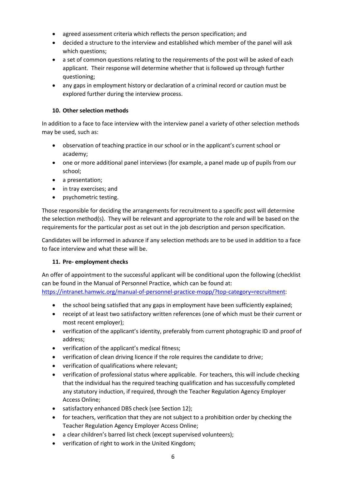- agreed assessment criteria which reflects the person specification; and
- decided a structure to the interview and established which member of the panel will ask which questions;
- a set of common questions relating to the requirements of the post will be asked of each applicant. Their response will determine whether that is followed up through further questioning;
- any gaps in employment history or declaration of a criminal record or caution must be explored further during the interview process.

# <span id="page-5-0"></span>**10. Other selection methods**

In addition to a face to face interview with the interview panel a variety of other selection methods may be used, such as:

- observation of teaching practice in our school or in the applicant's current school or academy;
- one or more additional panel interviews (for example, a panel made up of pupils from our school;
- a presentation;
- in tray exercises; and
- psychometric testing.

Those responsible for deciding the arrangements for recruitment to a specific post will determine the selection method(s). They will be relevant and appropriate to the role and will be based on the requirements for the particular post as set out in the job description and person specification.

Candidates will be informed in advance if any selection methods are to be used in addition to a face to face interview and what these will be.

# <span id="page-5-1"></span>**11. Pre- employment checks**

An offer of appointment to the successful applicant will be conditional upon the following (checklist can be found in the Manual of Personnel Practice, which can be found at: [https://intranet.hamwic.org/manual-of-personnel-practice-mopp/?top-category=recruitment:](https://intranet.hamwic.org/manual-of-personnel-practice-mopp/?top-category=recruitment)

- the school being satisfied that any gaps in employment have been sufficiently explained;
- receipt of at least two satisfactory written references (one of which must be their current or most recent employer);
- verification of the applicant's identity, preferably from current photographic ID and proof of address;
- verification of the applicant's medical fitness;
- verification of clean driving licence if the role requires the candidate to drive;
- verification of qualifications where relevant;
- verification of professional status where applicable. For teachers, this will include checking that the individual has the required teaching qualification and has successfully completed any statutory induction, if required, through the Teacher Regulation Agency Employer Access Online;
- satisfactory enhanced DBS check (see Section 12);
- for teachers, verification that they are not subject to a prohibition order by checking the Teacher Regulation Agency Employer Access Online;
- a clear children's barred list check (except supervised volunteers);
- verification of right to work in the United Kingdom;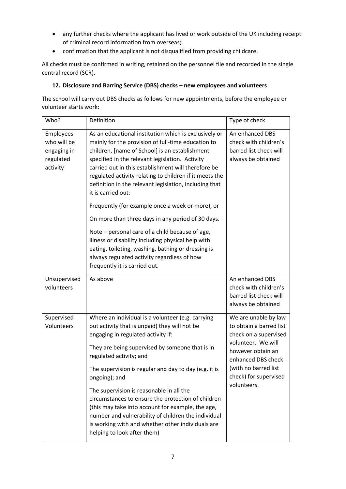- any further checks where the applicant has lived or work outside of the UK including receipt of criminal record information from overseas;
- confirmation that the applicant is not disqualified from providing childcare.

All checks must be confirmed in writing, retained on the personnel file and recorded in the single central record (SCR).

# <span id="page-6-0"></span>**12. Disclosure and Barring Service (DBS) checks – new employees and volunteers**

The school will carry out DBS checks as follows for new appointments, before the employee or volunteer starts work:

| Who?                                                                    | Definition                                                                                                                                                                                                                                                                                                                                                                                                                                                                                                                                                                                                                                                                                                                                                                 | Type of check                                                                                                                                                                                             |
|-------------------------------------------------------------------------|----------------------------------------------------------------------------------------------------------------------------------------------------------------------------------------------------------------------------------------------------------------------------------------------------------------------------------------------------------------------------------------------------------------------------------------------------------------------------------------------------------------------------------------------------------------------------------------------------------------------------------------------------------------------------------------------------------------------------------------------------------------------------|-----------------------------------------------------------------------------------------------------------------------------------------------------------------------------------------------------------|
| <b>Employees</b><br>who will be<br>engaging in<br>regulated<br>activity | As an educational institution which is exclusively or<br>mainly for the provision of full-time education to<br>children, [name of School] is an establishment<br>specified in the relevant legislation. Activity<br>carried out in this establishment will therefore be<br>regulated activity relating to children if it meets the<br>definition in the relevant legislation, including that<br>it is carried out:<br>Frequently (for example once a week or more); or<br>On more than three days in any period of 30 days.<br>Note – personal care of a child because of age,<br>illness or disability including physical help with<br>eating, toileting, washing, bathing or dressing is<br>always regulated activity regardless of how<br>frequently it is carried out. | An enhanced DBS<br>check with children's<br>barred list check will<br>always be obtained                                                                                                                  |
| Unsupervised<br>volunteers                                              | As above                                                                                                                                                                                                                                                                                                                                                                                                                                                                                                                                                                                                                                                                                                                                                                   | An enhanced DBS<br>check with children's<br>barred list check will<br>always be obtained                                                                                                                  |
| Supervised<br>Volunteers                                                | Where an individual is a volunteer (e.g. carrying<br>out activity that is unpaid) they will not be<br>engaging in regulated activity if:<br>They are being supervised by someone that is in<br>regulated activity; and<br>The supervision is regular and day to day (e.g. it is<br>ongoing); and<br>The supervision is reasonable in all the<br>circumstances to ensure the protection of children<br>(this may take into account for example, the age,<br>number and vulnerability of children the individual<br>is working with and whether other individuals are<br>helping to look after them)                                                                                                                                                                         | We are unable by law<br>to obtain a barred list<br>check on a supervised<br>volunteer. We will<br>however obtain an<br>enhanced DBS check<br>(with no barred list<br>check) for supervised<br>volunteers. |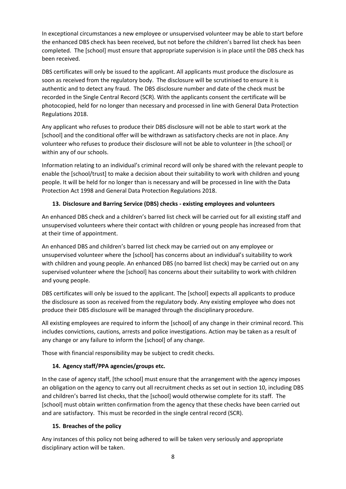In exceptional circumstances a new employee or unsupervised volunteer may be able to start before the enhanced DBS check has been received, but not before the children's barred list check has been completed. The [school] must ensure that appropriate supervision is in place until the DBS check has been received.

DBS certificates will only be issued to the applicant. All applicants must produce the disclosure as soon as received from the regulatory body. The disclosure will be scrutinised to ensure it is authentic and to detect any fraud. The DBS disclosure number and date of the check must be recorded in the Single Central Record (SCR). With the applicants consent the certificate will be photocopied, held for no longer than necessary and processed in line with General Data Protection Regulations 2018.

Any applicant who refuses to produce their DBS disclosure will not be able to start work at the [school] and the conditional offer will be withdrawn as satisfactory checks are not in place. Any volunteer who refuses to produce their disclosure will not be able to volunteer in [the school] or within any of our schools.

Information relating to an individual's criminal record will only be shared with the relevant people to enable the [school/trust] to make a decision about their suitability to work with children and young people. It will be held for no longer than is necessary and will be processed in line with the Data Protection Act 1998 and General Data Protection Regulations 2018.

# <span id="page-7-0"></span>**13. Disclosure and Barring Service (DBS) checks - existing employees and volunteers**

An enhanced DBS check and a children's barred list check will be carried out for all existing staff and unsupervised volunteers where their contact with children or young people has increased from that at their time of appointment.

An enhanced DBS and children's barred list check may be carried out on any employee or unsupervised volunteer where the [school] has concerns about an individual's suitability to work with children and young people. An enhanced DBS (no barred list check) may be carried out on any supervised volunteer where the [school] has concerns about their suitability to work with children and young people.

DBS certificates will only be issued to the applicant. The [school] expects all applicants to produce the disclosure as soon as received from the regulatory body. Any existing employee who does not produce their DBS disclosure will be managed through the disciplinary procedure.

All existing employees are required to inform the [school] of any change in their criminal record. This includes convictions, cautions, arrests and police investigations. Action may be taken as a result of any change or any failure to inform the [school] of any change.

Those with financial responsibility may be subject to credit checks.

# <span id="page-7-1"></span>**14. Agency staff/PPA agencies/groups etc.**

In the case of agency staff, [the school] must ensure that the arrangement with the agency imposes an obligation on the agency to carry out all recruitment checks as set out in section 10, including DBS and children's barred list checks, that the [school] would otherwise complete for its staff. The [school] must obtain written confirmation from the agency that these checks have been carried out and are satisfactory. This must be recorded in the single central record (SCR).

# <span id="page-7-2"></span>**15. Breaches of the policy**

Any instances of this policy not being adhered to will be taken very seriously and appropriate disciplinary action will be taken.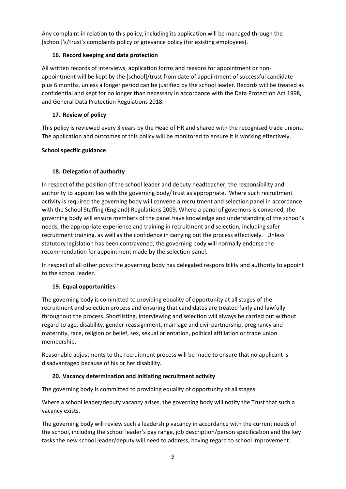Any complaint in relation to this policy, including its application will be managed through the [school]'s/trust's complaints policy or grievance policy (for existing employees).

# <span id="page-8-0"></span>**16. Record keeping and data protection**

All written records of interviews, application forms and reasons for appointment or nonappointment will be kept by the [school]/trust from date of appointment of successful candidate plus 6 months, unless a longer period can be justified by the school leader. Records will be treated as confidential and kept for no longer than necessary in accordance with the Data Protection Act 1998, and General Data Protection Regulations 2018.

# <span id="page-8-1"></span>**17. Review of policy**

This policy is reviewed every 3 years by the Head of HR and shared with the recognised trade unions. The application and outcomes of this policy will be monitored to ensure it is working effectively.

# <span id="page-8-2"></span>**School specific guidance**

# <span id="page-8-3"></span>**18. Delegation of authority**

In respect of the position of the school leader and deputy headteacher, the responsibility and authority to appoint lies with the governing body/Trust as appropriate. Where such recruitment activity is required the governing body will convene a recruitment and selection panel in accordance with the School Staffing (England) Regulations 2009. Where a panel of governors is convened, the governing body will ensure members of the panel have knowledge and understanding of the school's needs, the appropriate experience and training in recruitment and selection, including safer recruitment training, as well as the confidence in carrying out the process effectively. Unless statutory legislation has been contravened, the governing body will normally endorse the recommendation for appointment made by the selection panel.

In respect of all other posts the governing body has delegated responsibility and authority to appoint to the school leader.

# <span id="page-8-4"></span>**19. Equal opportunities**

The governing body is committed to providing equality of opportunity at all stages of the recruitment and selection process and ensuring that candidates are treated fairly and lawfully throughout the process. Shortlisting, interviewing and selection will always be carried out without regard to age, disability, gender reassignment, marriage and civil partnership, pregnancy and maternity, race, religion or belief, sex, sexual orientation, political affiliation or trade union membership.

Reasonable adjustments to the recruitment process will be made to ensure that no applicant is disadvantaged because of his or her disability.

# <span id="page-8-5"></span>**20. Vacancy determination and initiating recruitment activity**

The governing body is committed to providing equality of opportunity at all stages.

Where a school leader/deputy vacancy arises, the governing body will notify the Trust that such a vacancy exists.

The governing body will review such a leadership vacancy in accordance with the current needs of the school, including the school leader's pay range, job description/person specification and the key tasks the new school leader/deputy will need to address, having regard to school improvement.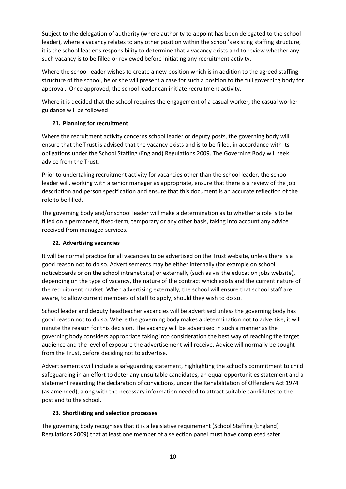Subject to the delegation of authority (where authority to appoint has been delegated to the school leader), where a vacancy relates to any other position within the school's existing staffing structure, it is the school leader's responsibility to determine that a vacancy exists and to review whether any such vacancy is to be filled or reviewed before initiating any recruitment activity.

Where the school leader wishes to create a new position which is in addition to the agreed staffing structure of the school, he or she will present a case for such a position to the full governing body for approval. Once approved, the school leader can initiate recruitment activity.

Where it is decided that the school requires the engagement of a casual worker, the casual worker guidance will be followed

# <span id="page-9-0"></span>**21. Planning for recruitment**

Where the recruitment activity concerns school leader or deputy posts, the governing body will ensure that the Trust is advised that the vacancy exists and is to be filled, in accordance with its obligations under the School Staffing (England) Regulations 2009. The Governing Body will seek advice from the Trust.

Prior to undertaking recruitment activity for vacancies other than the school leader, the school leader will, working with a senior manager as appropriate, ensure that there is a review of the job description and person specification and ensure that this document is an accurate reflection of the role to be filled.

The governing body and/or school leader will make a determination as to whether a role is to be filled on a permanent, fixed-term, temporary or any other basis, taking into account any advice received from managed services.

# <span id="page-9-1"></span>**22. Advertising vacancies**

It will be normal practice for all vacancies to be advertised on the Trust website, unless there is a good reason not to do so. Advertisements may be either internally (for example on school noticeboards or on the school intranet site) or externally (such as via the education jobs website), depending on the type of vacancy, the nature of the contract which exists and the current nature of the recruitment market. When advertising externally, the school will ensure that school staff are aware, to allow current members of staff to apply, should they wish to do so.

School leader and deputy headteacher vacancies will be advertised unless the governing body has good reason not to do so. Where the governing body makes a determination not to advertise, it will minute the reason for this decision. The vacancy will be advertised in such a manner as the governing body considers appropriate taking into consideration the best way of reaching the target audience and the level of exposure the advertisement will receive. Advice will normally be sought from the Trust, before deciding not to advertise.

Advertisements will include a safeguarding statement, highlighting the school's commitment to child safeguarding in an effort to deter any unsuitable candidates, an equal opportunities statement and a statement regarding the declaration of convictions, under the Rehabilitation of Offenders Act 1974 (as amended), along with the necessary information needed to attract suitable candidates to the post and to the school.

# <span id="page-9-2"></span>**23. Shortlisting and selection processes**

The governing body recognises that it is a legislative requirement (School Staffing (England) Regulations 2009) that at least one member of a selection panel must have completed safer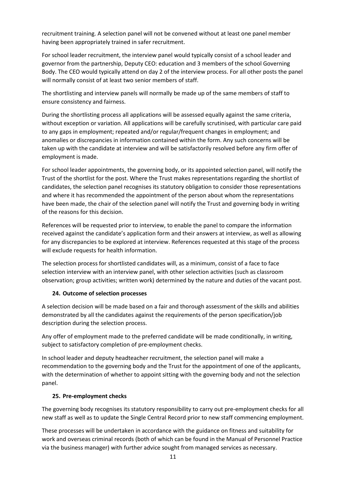recruitment training. A selection panel will not be convened without at least one panel member having been appropriately trained in safer recruitment.

For school leader recruitment, the interview panel would typically consist of a school leader and governor from the partnership, Deputy CEO: education and 3 members of the school Governing Body. The CEO would typically attend on day 2 of the interview process. For all other posts the panel will normally consist of at least two senior members of staff.

The shortlisting and interview panels will normally be made up of the same members of staff to ensure consistency and fairness.

During the shortlisting process all applications will be assessed equally against the same criteria, without exception or variation. All applications will be carefully scrutinised, with particular care paid to any gaps in employment; repeated and/or regular/frequent changes in employment; and anomalies or discrepancies in information contained within the form. Any such concerns will be taken up with the candidate at interview and will be satisfactorily resolved before any firm offer of employment is made.

For school leader appointments, the governing body, or its appointed selection panel, will notify the Trust of the shortlist for the post. Where the Trust makes representations regarding the shortlist of candidates, the selection panel recognises its statutory obligation to consider those representations and where it has recommended the appointment of the person about whom the representations have been made, the chair of the selection panel will notify the Trust and governing body in writing of the reasons for this decision.

References will be requested prior to interview, to enable the panel to compare the information received against the candidate's application form and their answers at interview, as well as allowing for any discrepancies to be explored at interview. References requested at this stage of the process will exclude requests for health information.

The selection process for shortlisted candidates will, as a minimum, consist of a face to face selection interview with an interview panel, with other selection activities (such as classroom observation; group activities; written work) determined by the nature and duties of the vacant post.

# <span id="page-10-0"></span>**24. Outcome of selection processes**

A selection decision will be made based on a fair and thorough assessment of the skills and abilities demonstrated by all the candidates against the requirements of the person specification/job description during the selection process.

Any offer of employment made to the preferred candidate will be made conditionally, in writing, subject to satisfactory completion of pre-employment checks.

In school leader and deputy headteacher recruitment, the selection panel will make a recommendation to the governing body and the Trust for the appointment of one of the applicants, with the determination of whether to appoint sitting with the governing body and not the selection panel.

# <span id="page-10-1"></span>**25. Pre-employment checks**

The governing body recognises its statutory responsibility to carry out pre-employment checks for all new staff as well as to update the Single Central Record prior to new staff commencing employment.

These processes will be undertaken in accordance with the guidance on fitness and suitability for work and overseas criminal records (both of which can be found in the Manual of Personnel Practice via the business manager) with further advice sought from managed services as necessary.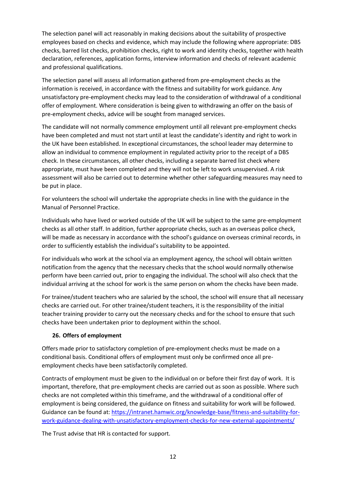The selection panel will act reasonably in making decisions about the suitability of prospective employees based on checks and evidence, which may include the following where appropriate: DBS checks, barred list checks, prohibition checks, right to work and identity checks, together with health declaration, references, application forms, interview information and checks of relevant academic and professional qualifications.

The selection panel will assess all information gathered from pre-employment checks as the information is received, in accordance with the fitness and suitability for work guidance. Any unsatisfactory pre-employment checks may lead to the consideration of withdrawal of a conditional offer of employment. Where consideration is being given to withdrawing an offer on the basis of pre-employment checks, advice will be sought from managed services.

The candidate will not normally commence employment until all relevant pre-employment checks have been completed and must not start until at least the candidate's identity and right to work in the UK have been established. In exceptional circumstances, the school leader may determine to allow an individual to commence employment in regulated activity prior to the receipt of a DBS check. In these circumstances, all other checks, including a separate barred list check where appropriate, must have been completed and they will not be left to work unsupervised. A risk assessment will also be carried out to determine whether other safeguarding measures may need to be put in place.

For volunteers the school will undertake the appropriate checks in line with the guidance in the Manual of Personnel Practice.

Individuals who have lived or worked outside of the UK will be subject to the same pre-employment checks as all other staff. In addition, further appropriate checks, such as an overseas police check, will be made as necessary in accordance with the school's guidance on overseas criminal records, in order to sufficiently establish the individual's suitability to be appointed.

For individuals who work at the school via an employment agency, the school will obtain written notification from the agency that the necessary checks that the school would normally otherwise perform have been carried out, prior to engaging the individual. The school will also check that the individual arriving at the school for work is the same person on whom the checks have been made.

For trainee/student teachers who are salaried by the school, the school will ensure that all necessary checks are carried out. For other trainee/student teachers, it is the responsibility of the initial teacher training provider to carry out the necessary checks and for the school to ensure that such checks have been undertaken prior to deployment within the school.

# <span id="page-11-0"></span>**26. Offers of employment**

Offers made prior to satisfactory completion of pre-employment checks must be made on a conditional basis. Conditional offers of employment must only be confirmed once all preemployment checks have been satisfactorily completed.

Contracts of employment must be given to the individual on or before their first day of work. It is important, therefore, that pre-employment checks are carried out as soon as possible. Where such checks are not completed within this timeframe, and the withdrawal of a conditional offer of employment is being considered, the guidance on fitness and suitability for work will be followed. Guidance can be found at: [https://intranet.hamwic.org/knowledge-base/fitness-and-suitability-for](https://intranet.hamwic.org/knowledge-base/fitness-and-suitability-for-work-guidance-dealing-with-unsatisfactory-employment-checks-for-new-external-appointments/)[work-guidance-dealing-with-unsatisfactory-employment-checks-for-new-external-appointments/](https://intranet.hamwic.org/knowledge-base/fitness-and-suitability-for-work-guidance-dealing-with-unsatisfactory-employment-checks-for-new-external-appointments/)

The Trust advise that HR is contacted for support.